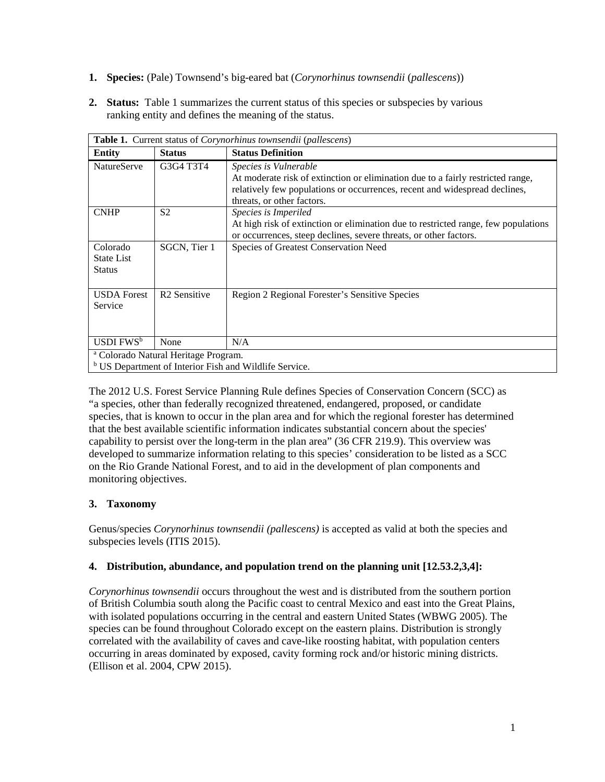- **1. Species:** (Pale) Townsend's big-eared bat (*Corynorhinus townsendii* (*pallescens*))
- **2. Status:** Table 1 summarizes the current status of this species or subspecies by various ranking entity and defines the meaning of the status.

| <b>Table 1.</b> Current status of <i>Corynorhinus townsendii</i> ( <i>pallescens</i> )                               |                          |                                                                                                                                                                                                                      |  |
|----------------------------------------------------------------------------------------------------------------------|--------------------------|----------------------------------------------------------------------------------------------------------------------------------------------------------------------------------------------------------------------|--|
| <b>Entity</b>                                                                                                        | <b>Status</b>            | <b>Status Definition</b>                                                                                                                                                                                             |  |
| <b>NatureServe</b>                                                                                                   | G3G4 T3T4                | Species is Vulnerable<br>At moderate risk of extinction or elimination due to a fairly restricted range,<br>relatively few populations or occurrences, recent and widespread declines,<br>threats, or other factors. |  |
| <b>CNHP</b>                                                                                                          | S <sub>2</sub>           | Species is Imperiled<br>At high risk of extinction or elimination due to restricted range, few populations<br>or occurrences, steep declines, severe threats, or other factors.                                      |  |
| Colorado<br><b>State List</b><br><b>Status</b>                                                                       | SGCN, Tier 1             | Species of Greatest Conservation Need                                                                                                                                                                                |  |
| <b>USDA Forest</b><br>Service                                                                                        | R <sub>2</sub> Sensitive | Region 2 Regional Forester's Sensitive Species                                                                                                                                                                       |  |
| $USDI$ FWS <sup>b</sup>                                                                                              | None                     | N/A                                                                                                                                                                                                                  |  |
| <sup>a</sup> Colorado Natural Heritage Program.<br><sup>b</sup> US Department of Interior Fish and Wildlife Service. |                          |                                                                                                                                                                                                                      |  |

The 2012 U.S. Forest Service Planning Rule defines Species of Conservation Concern (SCC) as "a species, other than federally recognized threatened, endangered, proposed, or candidate species, that is known to occur in the plan area and for which the regional forester has determined that the best available scientific information indicates substantial concern about the species' capability to persist over the long-term in the plan area" (36 CFR 219.9). This overview was developed to summarize information relating to this species' consideration to be listed as a SCC on the Rio Grande National Forest, and to aid in the development of plan components and monitoring objectives.

# **3. Taxonomy**

Genus/species *Corynorhinus townsendii (pallescens)* is accepted as valid at both the species and subspecies levels (ITIS 2015).

# **4. Distribution, abundance, and population trend on the planning unit [12.53.2,3,4]:**

*Corynorhinus townsendii* occurs throughout the west and is distributed from the southern portion of British Columbia south along the Pacific coast to central Mexico and east into the Great Plains, with isolated populations occurring in the central and eastern United States (WBWG 2005). The species can be found throughout Colorado except on the eastern plains. Distribution is strongly correlated with the availability of caves and cave-like roosting habitat, with population centers occurring in areas dominated by exposed, cavity forming rock and/or historic mining districts. (Ellison et al. 2004, CPW 2015).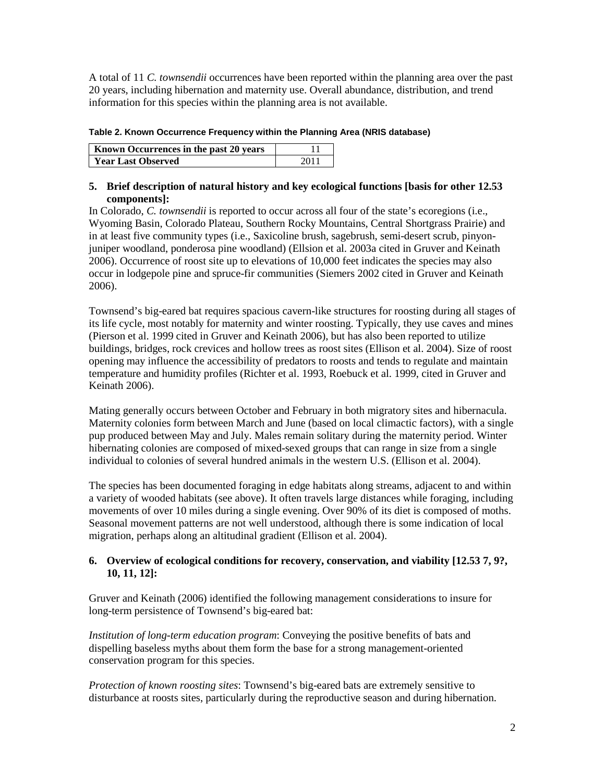A total of 11 *C. townsendii* occurrences have been reported within the planning area over the past 20 years, including hibernation and maternity use. Overall abundance, distribution, and trend information for this species within the planning area is not available.

### **Table 2. Known Occurrence Frequency within the Planning Area (NRIS database)**

| <b>Known Occurrences in the past 20 years</b> |      |
|-----------------------------------------------|------|
| <b>Year Last Observed</b>                     | 2011 |

## **5. Brief description of natural history and key ecological functions [basis for other 12.53 components]:**

In Colorado, *C. townsendii* is reported to occur across all four of the state's ecoregions (i.e., Wyoming Basin, Colorado Plateau, Southern Rocky Mountains, Central Shortgrass Prairie) and in at least five community types (i.e., Saxicoline brush, sagebrush, semi-desert scrub, pinyonjuniper woodland, ponderosa pine woodland) (Ellsion et al. 2003a cited in Gruver and Keinath 2006). Occurrence of roost site up to elevations of 10,000 feet indicates the species may also occur in lodgepole pine and spruce-fir communities (Siemers 2002 cited in Gruver and Keinath 2006).

Townsend's big-eared bat requires spacious cavern-like structures for roosting during all stages of its life cycle, most notably for maternity and winter roosting. Typically, they use caves and mines (Pierson et al. 1999 cited in Gruver and Keinath 2006), but has also been reported to utilize buildings, bridges, rock crevices and hollow trees as roost sites (Ellison et al. 2004). Size of roost opening may influence the accessibility of predators to roosts and tends to regulate and maintain temperature and humidity profiles (Richter et al. 1993, Roebuck et al. 1999, cited in Gruver and Keinath 2006).

Mating generally occurs between October and February in both migratory sites and hibernacula. Maternity colonies form between March and June (based on local climactic factors), with a single pup produced between May and July. Males remain solitary during the maternity period. Winter hibernating colonies are composed of mixed-sexed groups that can range in size from a single individual to colonies of several hundred animals in the western U.S. (Ellison et al. 2004).

The species has been documented foraging in edge habitats along streams, adjacent to and within a variety of wooded habitats (see above). It often travels large distances while foraging, including movements of over 10 miles during a single evening. Over 90% of its diet is composed of moths. Seasonal movement patterns are not well understood, although there is some indication of local migration, perhaps along an altitudinal gradient (Ellison et al. 2004).

## **6. Overview of ecological conditions for recovery, conservation, and viability [12.53 7, 9?, 10, 11, 12]:**

Gruver and Keinath (2006) identified the following management considerations to insure for long-term persistence of Townsend's big-eared bat:

*Institution of long-term education program*: Conveying the positive benefits of bats and dispelling baseless myths about them form the base for a strong management-oriented conservation program for this species.

*Protection of known roosting sites*: Townsend's big-eared bats are extremely sensitive to disturbance at roosts sites, particularly during the reproductive season and during hibernation.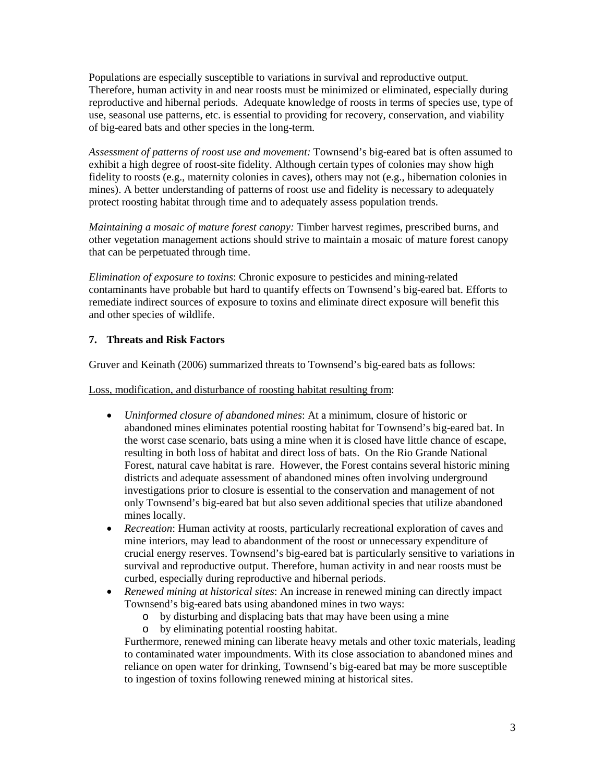Populations are especially susceptible to variations in survival and reproductive output. Therefore, human activity in and near roosts must be minimized or eliminated, especially during reproductive and hibernal periods. Adequate knowledge of roosts in terms of species use, type of use, seasonal use patterns, etc. is essential to providing for recovery, conservation, and viability of big-eared bats and other species in the long-term.

*Assessment of patterns of roost use and movement:* Townsend's big-eared bat is often assumed to exhibit a high degree of roost-site fidelity. Although certain types of colonies may show high fidelity to roosts (e.g., maternity colonies in caves), others may not (e.g., hibernation colonies in mines). A better understanding of patterns of roost use and fidelity is necessary to adequately protect roosting habitat through time and to adequately assess population trends.

*Maintaining a mosaic of mature forest canopy:* Timber harvest regimes, prescribed burns, and other vegetation management actions should strive to maintain a mosaic of mature forest canopy that can be perpetuated through time.

*Elimination of exposure to toxins*: Chronic exposure to pesticides and mining-related contaminants have probable but hard to quantify effects on Townsend's big-eared bat. Efforts to remediate indirect sources of exposure to toxins and eliminate direct exposure will benefit this and other species of wildlife.

# **7. Threats and Risk Factors**

Gruver and Keinath (2006) summarized threats to Townsend's big-eared bats as follows:

Loss, modification, and disturbance of roosting habitat resulting from:

- *Uninformed closure of abandoned mines*: At a minimum, closure of historic or abandoned mines eliminates potential roosting habitat for Townsend's big-eared bat. In the worst case scenario, bats using a mine when it is closed have little chance of escape, resulting in both loss of habitat and direct loss of bats. On the Rio Grande National Forest, natural cave habitat is rare. However, the Forest contains several historic mining districts and adequate assessment of abandoned mines often involving underground investigations prior to closure is essential to the conservation and management of not only Townsend's big-eared bat but also seven additional species that utilize abandoned mines locally.
- *Recreation*: Human activity at roosts, particularly recreational exploration of caves and mine interiors, may lead to abandonment of the roost or unnecessary expenditure of crucial energy reserves. Townsend's big-eared bat is particularly sensitive to variations in survival and reproductive output. Therefore, human activity in and near roosts must be curbed, especially during reproductive and hibernal periods.
- *Renewed mining at historical sites*: An increase in renewed mining can directly impact Townsend's big-eared bats using abandoned mines in two ways:
	- o by disturbing and displacing bats that may have been using a mine
	- o by eliminating potential roosting habitat.

Furthermore, renewed mining can liberate heavy metals and other toxic materials, leading to contaminated water impoundments. With its close association to abandoned mines and reliance on open water for drinking, Townsend's big-eared bat may be more susceptible to ingestion of toxins following renewed mining at historical sites.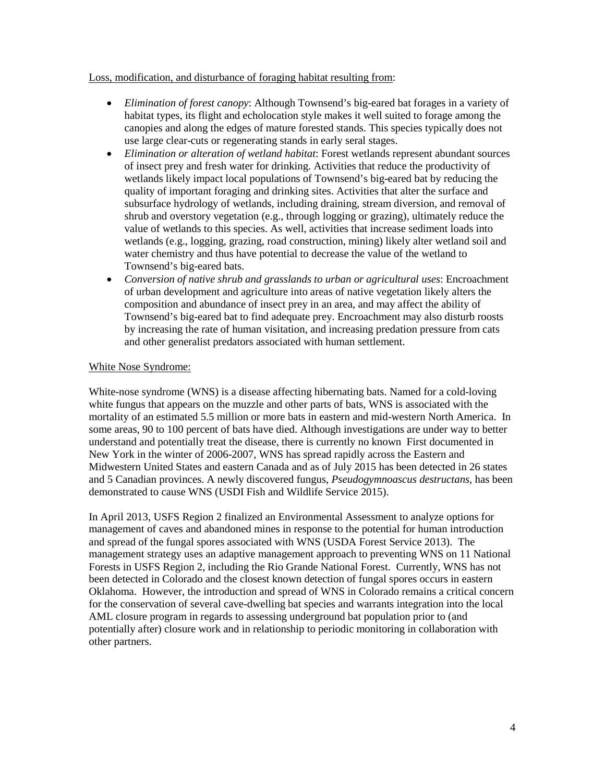### Loss, modification, and disturbance of foraging habitat resulting from:

- *Elimination of forest canopy*: Although Townsend's big-eared bat forages in a variety of habitat types, its flight and echolocation style makes it well suited to forage among the canopies and along the edges of mature forested stands. This species typically does not use large clear-cuts or regenerating stands in early seral stages.
- *Elimination or alteration of wetland habitat*: Forest wetlands represent abundant sources of insect prey and fresh water for drinking. Activities that reduce the productivity of wetlands likely impact local populations of Townsend's big-eared bat by reducing the quality of important foraging and drinking sites. Activities that alter the surface and subsurface hydrology of wetlands, including draining, stream diversion, and removal of shrub and overstory vegetation (e.g., through logging or grazing), ultimately reduce the value of wetlands to this species. As well, activities that increase sediment loads into wetlands (e.g., logging, grazing, road construction, mining) likely alter wetland soil and water chemistry and thus have potential to decrease the value of the wetland to Townsend's big-eared bats.
- *Conversion of native shrub and grasslands to urban or agricultural uses*: Encroachment of urban development and agriculture into areas of native vegetation likely alters the composition and abundance of insect prey in an area, and may affect the ability of Townsend's big-eared bat to find adequate prey. Encroachment may also disturb roosts by increasing the rate of human visitation, and increasing predation pressure from cats and other generalist predators associated with human settlement.

## White Nose Syndrome:

White-nose syndrome (WNS) is a disease affecting hibernating bats. Named for a cold-loving white fungus that appears on the muzzle and other parts of bats, WNS is associated with the mortality of an estimated 5.5 million or more bats in eastern and mid-western North America. In some areas, 90 to 100 percent of bats have died. Although investigations are under way to better understand and potentially treat the disease, there is currently no known First documented in New York in the winter of 2006-2007, WNS has spread rapidly across the Eastern and Midwestern United States and eastern Canada and as of July 2015 has been detected in 26 states and 5 Canadian provinces. A newly discovered fungus, *Pseudogymnoascus destructans*, has been demonstrated to cause WNS (USDI Fish and Wildlife Service 2015).

In April 2013, USFS Region 2 finalized an Environmental Assessment to analyze options for management of caves and abandoned mines in response to the potential for human introduction and spread of the fungal spores associated with WNS (USDA Forest Service 2013). The management strategy uses an adaptive management approach to preventing WNS on 11 National Forests in USFS Region 2, including the Rio Grande National Forest. Currently, WNS has not been detected in Colorado and the closest known detection of fungal spores occurs in eastern Oklahoma. However, the introduction and spread of WNS in Colorado remains a critical concern for the conservation of several cave-dwelling bat species and warrants integration into the local AML closure program in regards to assessing underground bat population prior to (and potentially after) closure work and in relationship to periodic monitoring in collaboration with other partners.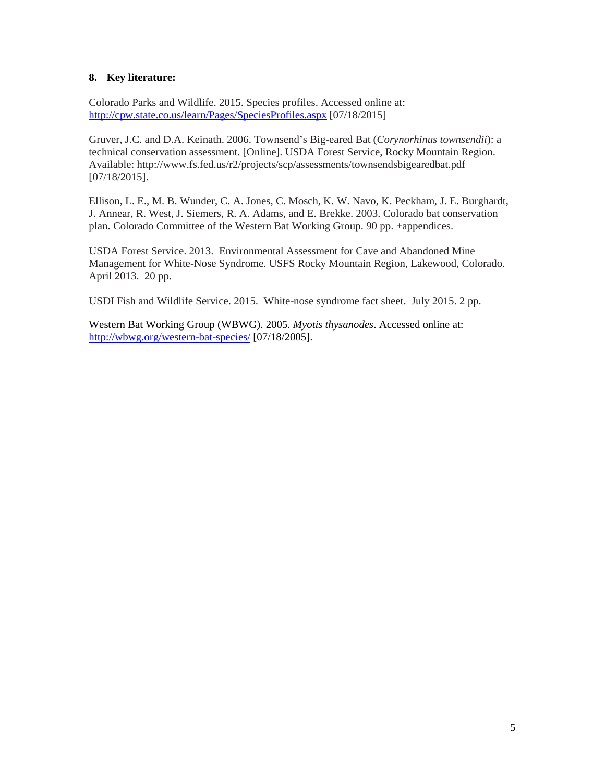### **8. Key literature:**

Colorado Parks and Wildlife. 2015. Species profiles. Accessed online at: <http://cpw.state.co.us/learn/Pages/SpeciesProfiles.aspx> [07/18/2015]

Gruver, J.C. and D.A. Keinath. 2006. Townsend's Big-eared Bat (*Corynorhinus townsendii*): a technical conservation assessment. [Online]. USDA Forest Service, Rocky Mountain Region. Available: http://www.fs.fed.us/r2/projects/scp/assessments/townsendsbigearedbat.pdf [07/18/2015].

Ellison, L. E., M. B. Wunder, C. A. Jones, C. Mosch, K. W. Navo, K. Peckham, J. E. Burghardt, J. Annear, R. West, J. Siemers, R. A. Adams, and E. Brekke. 2003. Colorado bat conservation plan. Colorado Committee of the Western Bat Working Group. 90 pp. +appendices.

USDA Forest Service. 2013. Environmental Assessment for Cave and Abandoned Mine Management for White-Nose Syndrome. USFS Rocky Mountain Region, Lakewood, Colorado. April 2013. 20 pp.

USDI Fish and Wildlife Service. 2015. White-nose syndrome fact sheet. July 2015. 2 pp.

Western Bat Working Group (WBWG). 2005. *Myotis thysanodes*. Accessed online at: <http://wbwg.org/western-bat-species/> [07/18/2005].